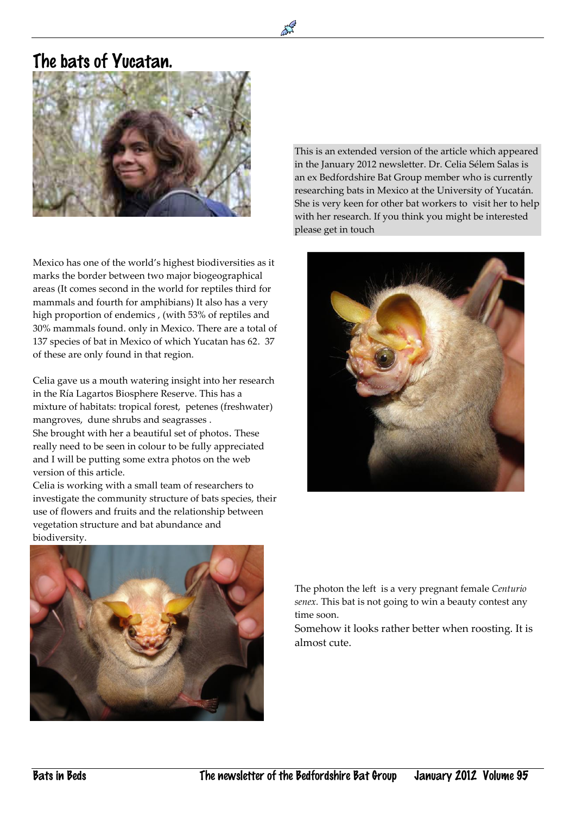## The bats of Yucatan.

 $\overline{a}$ 



Mexico has one of the world's highest biodiversities as it marks the border between two major biogeographical areas (It comes second in the world for reptiles third for mammals and fourth for amphibians) It also has a very high proportion of endemics , (with 53% of reptiles and 30% mammals found. only in Mexico. There are a total of 137 species of bat in Mexico of which Yucatan has 62. 37 of these are only found in that region.

Celia gave us a mouth watering insight into her research in the Ría Lagartos Biosphere Reserve. This has a mixture of habitats: tropical forest, petenes (freshwater) mangroves, dune shrubs and seagrasses . She brought with her a beautiful set of photos. These really need to be seen in colour to be fully appreciated and I will be putting some extra photos on the web version of this article.

Celia is working with a small team of researchers to investigate the community structure of bats species, their use of flowers and fruits and the relationship between vegetation structure and bat abundance and biodiversity.

This is an extended version of the article which appeared in the January 2012 newsletter. Dr. Celia Sélem Salas is an ex Bedfordshire Bat Group member who is currently researching bats in Mexico at the University of Yucatán. She is very keen for other bat workers to visit her to help with her research. If you think you might be interested please get in touch





The photon the left is a very pregnant female *Centurio senex.* This bat is not going to win a beauty contest any time soon.

Somehow it looks rather better when roosting. It is almost cute.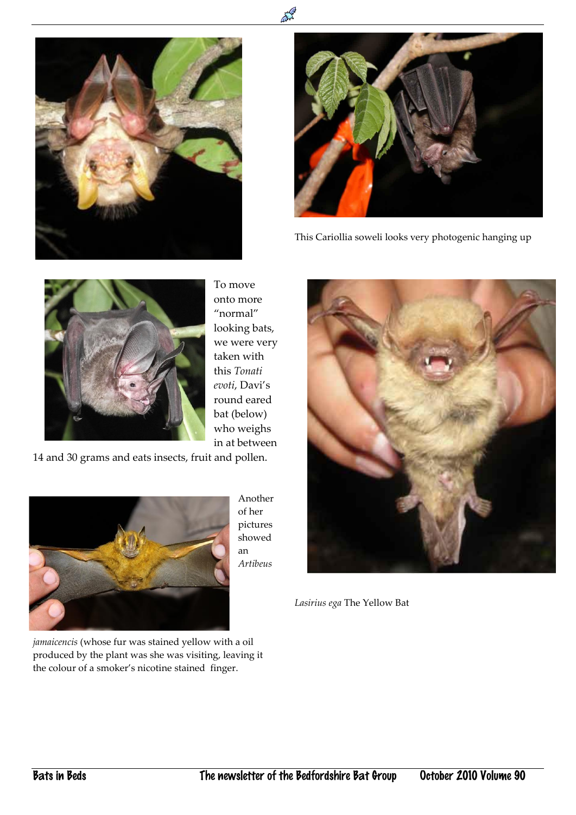



This Cariollia soweli looks very photogenic hanging up



To move onto more "normal" looking bats, we were very taken with this *Tonati evoti*, Davi's round eared bat (below) who weighs in at between

14 and 30 grams and eats insects, fruit and pollen.



Another of her pictures showed an *Artibeus* 



*Lasirius ega* The Yellow Bat

*jamaicencis* (whose fur was stained yellow with a oil produced by the plant was she was visiting, leaving it the colour of a smoker's nicotine stained finger.